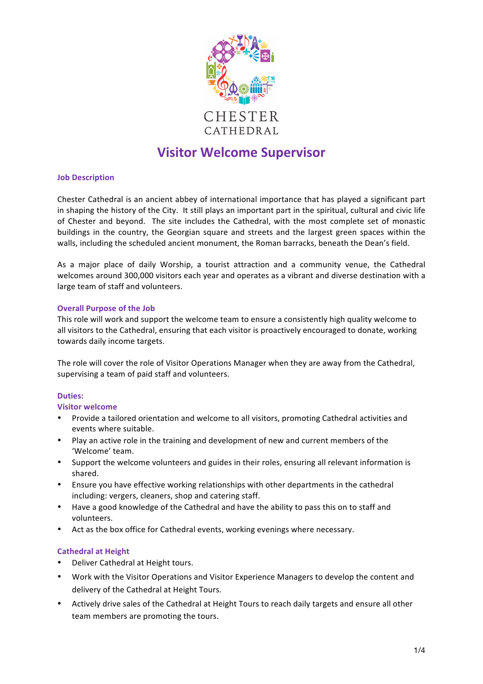

# **Visitor Welcome Supervisor**

## **Job Description**

Chester Cathedral is an ancient abbey of international importance that has played a significant part in shaping the history of the City. It still plays an important part in the spiritual, cultural and civic life of Chester and beyond. The site includes the Cathedral, with the most complete set of monastic buildings in the country, the Georgian square and streets and the largest green spaces within the walls, including the scheduled ancient monument, the Roman barracks, beneath the Dean's field.

As a major place of daily Worship, a tourist attraction and a community venue, the Cathedral welcomes around 300,000 visitors each year and operates as a vibrant and diverse destination with a large team of staff and volunteers.

# **Overall Purpose of the Job**

This role will work and support the welcome team to ensure a consistently high quality welcome to all visitors to the Cathedral, ensuring that each visitor is proactively encouraged to donate, working towards daily income targets.

The role will cover the role of Visitor Operations Manager when they are away from the Cathedral, supervising a team of paid staff and volunteers.

## Duties:

## **Visitor welcome**

- Provide a tailored orientation and welcome to all visitors, promoting Cathedral activities and events where suitable.
- Play an active role in the training and development of new and current members of the 'Welcome' team.
- Support the welcome volunteers and guides in their roles, ensuring all relevant information is shared.
- Ensure you have effective working relationships with other departments in the cathedral including: vergers, cleaners, shop and catering staff.
- Have a good knowledge of the Cathedral and have the ability to pass this on to staff and volunteers.
- Act as the box office for Cathedral events, working evenings where necessary.

# **Cathedral at Height**

- Deliver Cathedral at Height tours.
- Work with the Visitor Operations and Visitor Experience Managers to develop the content and delivery of the Cathedral at Height Tours.
- Actively drive sales of the Cathedral at Height Tours to reach daily targets and ensure all other team members are promoting the tours.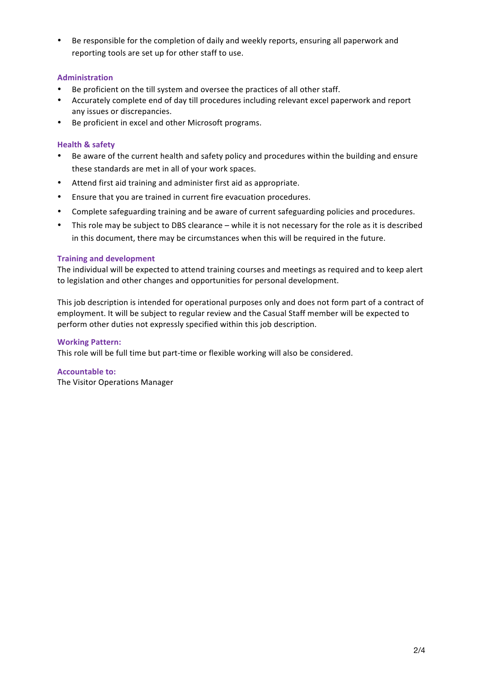Be responsible for the completion of daily and weekly reports, ensuring all paperwork and reporting tools are set up for other staff to use.

# **Administration**

- Be proficient on the till system and oversee the practices of all other staff.
- Accurately complete end of day till procedures including relevant excel paperwork and report any issues or discrepancies.
- Be proficient in excel and other Microsoft programs.

## **Health & safety**

- Be aware of the current health and safety policy and procedures within the building and ensure these standards are met in all of your work spaces.
- Attend first aid training and administer first aid as appropriate.
- Ensure that you are trained in current fire evacuation procedures.
- Complete safeguarding training and be aware of current safeguarding policies and procedures.
- This role may be subject to DBS clearance while it is not necessary for the role as it is described in this document, there may be circumstances when this will be required in the future.

## **Training and development**

The individual will be expected to attend training courses and meetings as required and to keep alert to legislation and other changes and opportunities for personal development.

This job description is intended for operational purposes only and does not form part of a contract of employment. It will be subject to regular review and the Casual Staff member will be expected to perform other duties not expressly specified within this job description.

## **Working Pattern:**

This role will be full time but part-time or flexible working will also be considered.

## **Accountable to:**

The Visitor Operations Manager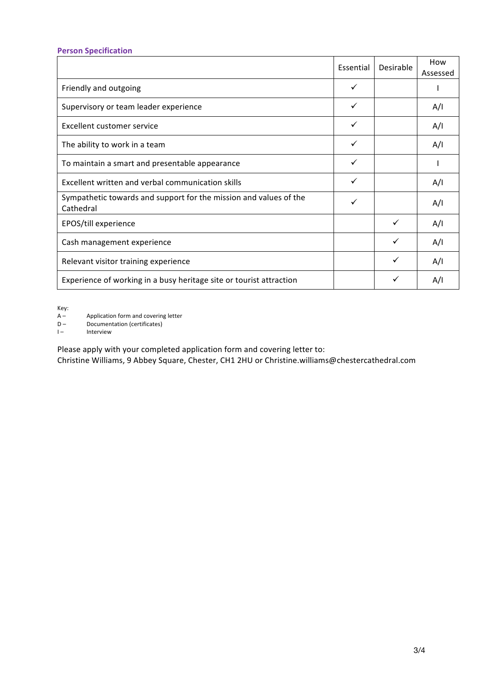# **Person Specification**

|                                                                                | Essential    | Desirable | How<br>Assessed |
|--------------------------------------------------------------------------------|--------------|-----------|-----------------|
| Friendly and outgoing                                                          | $\checkmark$ |           |                 |
| Supervisory or team leader experience                                          | $\checkmark$ |           | A/I             |
| Excellent customer service                                                     | $\checkmark$ |           | A/I             |
| The ability to work in a team                                                  | $\checkmark$ |           | A/I             |
| To maintain a smart and presentable appearance                                 | $\checkmark$ |           |                 |
| Excellent written and verbal communication skills                              | $\checkmark$ |           | A/I             |
| Sympathetic towards and support for the mission and values of the<br>Cathedral |              |           | A/I             |
| EPOS/till experience                                                           |              | ✓         | A/I             |
| Cash management experience                                                     |              | ✓         | A/I             |
| Relevant visitor training experience                                           |              | ✓         | A/I             |
| Experience of working in a busy heritage site or tourist attraction            |              | ✓         | A/I             |

Key:<br>A –<br>D – Application form and covering letter

- D Documentation (certificates)<br>  $I -$  Interview
- **Interview**

Please apply with your completed application form and covering letter to:

Christine Williams, 9 Abbey Square, Chester, CH1 2HU or Christine.williams@chestercathedral.com